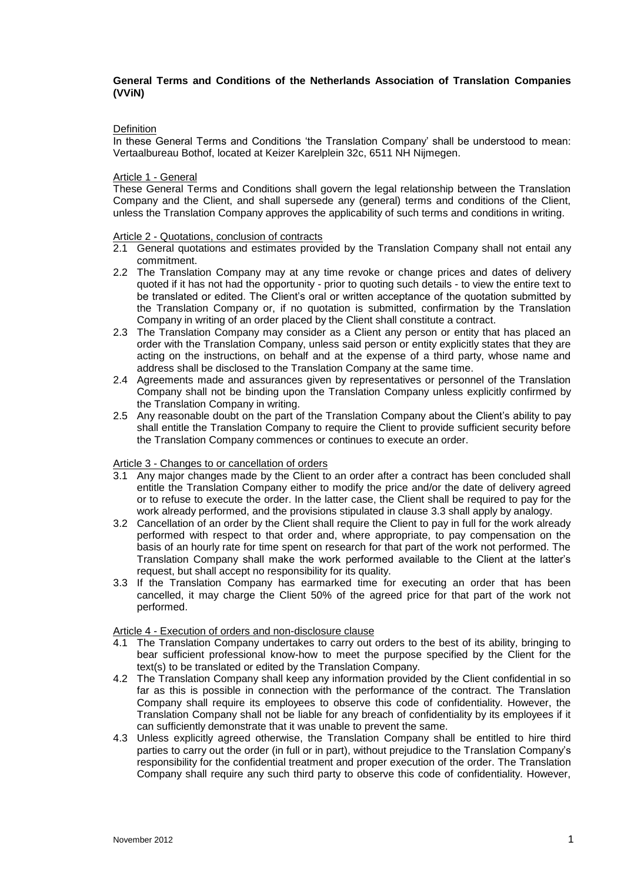# **General Terms and Conditions of the Netherlands Association of Translation Companies (VViN)**

### **Definition**

In these General Terms and Conditions 'the Translation Company' shall be understood to mean: Vertaalbureau Bothof, located at Keizer Karelplein 32c, 6511 NH Nijmegen.

#### Article 1 - General

These General Terms and Conditions shall govern the legal relationship between the Translation Company and the Client, and shall supersede any (general) terms and conditions of the Client, unless the Translation Company approves the applicability of such terms and conditions in writing.

#### Article 2 - Quotations, conclusion of contracts

- 2.1 General quotations and estimates provided by the Translation Company shall not entail any commitment.
- 2.2 The Translation Company may at any time revoke or change prices and dates of delivery quoted if it has not had the opportunity - prior to quoting such details - to view the entire text to be translated or edited. The Client's oral or written acceptance of the quotation submitted by the Translation Company or, if no quotation is submitted, confirmation by the Translation Company in writing of an order placed by the Client shall constitute a contract.
- 2.3 The Translation Company may consider as a Client any person or entity that has placed an order with the Translation Company, unless said person or entity explicitly states that they are acting on the instructions, on behalf and at the expense of a third party, whose name and address shall be disclosed to the Translation Company at the same time.
- 2.4 Agreements made and assurances given by representatives or personnel of the Translation Company shall not be binding upon the Translation Company unless explicitly confirmed by the Translation Company in writing.
- 2.5 Any reasonable doubt on the part of the Translation Company about the Client's ability to pay shall entitle the Translation Company to require the Client to provide sufficient security before the Translation Company commences or continues to execute an order.

#### Article 3 - Changes to or cancellation of orders

- 3.1 Any major changes made by the Client to an order after a contract has been concluded shall entitle the Translation Company either to modify the price and/or the date of delivery agreed or to refuse to execute the order. In the latter case, the Client shall be required to pay for the work already performed, and the provisions stipulated in clause 3.3 shall apply by analogy.
- 3.2 Cancellation of an order by the Client shall require the Client to pay in full for the work already performed with respect to that order and, where appropriate, to pay compensation on the basis of an hourly rate for time spent on research for that part of the work not performed. The Translation Company shall make the work performed available to the Client at the latter's request, but shall accept no responsibility for its quality.
- 3.3 If the Translation Company has earmarked time for executing an order that has been cancelled, it may charge the Client 50% of the agreed price for that part of the work not performed.

### Article 4 - Execution of orders and non-disclosure clause

- 4.1 The Translation Company undertakes to carry out orders to the best of its ability, bringing to bear sufficient professional know-how to meet the purpose specified by the Client for the text(s) to be translated or edited by the Translation Company.
- 4.2 The Translation Company shall keep any information provided by the Client confidential in so far as this is possible in connection with the performance of the contract. The Translation Company shall require its employees to observe this code of confidentiality. However, the Translation Company shall not be liable for any breach of confidentiality by its employees if it can sufficiently demonstrate that it was unable to prevent the same.
- 4.3 Unless explicitly agreed otherwise, the Translation Company shall be entitled to hire third parties to carry out the order (in full or in part), without prejudice to the Translation Company's responsibility for the confidential treatment and proper execution of the order. The Translation Company shall require any such third party to observe this code of confidentiality. However,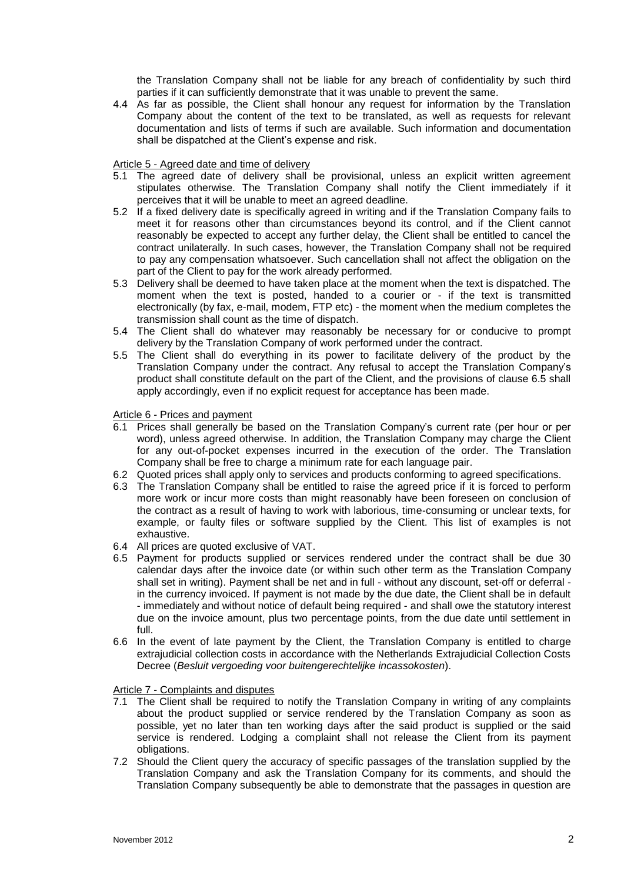the Translation Company shall not be liable for any breach of confidentiality by such third parties if it can sufficiently demonstrate that it was unable to prevent the same.

4.4 As far as possible, the Client shall honour any request for information by the Translation Company about the content of the text to be translated, as well as requests for relevant documentation and lists of terms if such are available. Such information and documentation shall be dispatched at the Client's expense and risk.

### Article 5 - Agreed date and time of delivery

- 5.1 The agreed date of delivery shall be provisional, unless an explicit written agreement stipulates otherwise. The Translation Company shall notify the Client immediately if it perceives that it will be unable to meet an agreed deadline.
- 5.2 If a fixed delivery date is specifically agreed in writing and if the Translation Company fails to meet it for reasons other than circumstances beyond its control, and if the Client cannot reasonably be expected to accept any further delay, the Client shall be entitled to cancel the contract unilaterally. In such cases, however, the Translation Company shall not be required to pay any compensation whatsoever. Such cancellation shall not affect the obligation on the part of the Client to pay for the work already performed.
- 5.3 Delivery shall be deemed to have taken place at the moment when the text is dispatched. The moment when the text is posted, handed to a courier or - if the text is transmitted electronically (by fax, e-mail, modem, FTP etc) - the moment when the medium completes the transmission shall count as the time of dispatch.
- 5.4 The Client shall do whatever may reasonably be necessary for or conducive to prompt delivery by the Translation Company of work performed under the contract.
- 5.5 The Client shall do everything in its power to facilitate delivery of the product by the Translation Company under the contract. Any refusal to accept the Translation Company's product shall constitute default on the part of the Client, and the provisions of clause 6.5 shall apply accordingly, even if no explicit request for acceptance has been made.

# Article 6 - Prices and payment

- 6.1 Prices shall generally be based on the Translation Company's current rate (per hour or per word), unless agreed otherwise. In addition, the Translation Company may charge the Client for any out-of-pocket expenses incurred in the execution of the order. The Translation Company shall be free to charge a minimum rate for each language pair.
- 6.2 Quoted prices shall apply only to services and products conforming to agreed specifications.
- 6.3 The Translation Company shall be entitled to raise the agreed price if it is forced to perform more work or incur more costs than might reasonably have been foreseen on conclusion of the contract as a result of having to work with laborious, time-consuming or unclear texts, for example, or faulty files or software supplied by the Client. This list of examples is not exhaustive.
- 6.4 All prices are quoted exclusive of VAT.
- 6.5 Payment for products supplied or services rendered under the contract shall be due 30 calendar days after the invoice date (or within such other term as the Translation Company shall set in writing). Payment shall be net and in full - without any discount, set-off or deferral in the currency invoiced. If payment is not made by the due date, the Client shall be in default - immediately and without notice of default being required - and shall owe the statutory interest due on the invoice amount, plus two percentage points, from the due date until settlement in full.
- 6.6 In the event of late payment by the Client, the Translation Company is entitled to charge extrajudicial collection costs in accordance with the Netherlands Extrajudicial Collection Costs Decree (*Besluit vergoeding voor buitengerechtelijke incassokosten*).

### Article 7 - Complaints and disputes

- 7.1 The Client shall be required to notify the Translation Company in writing of any complaints about the product supplied or service rendered by the Translation Company as soon as possible, yet no later than ten working days after the said product is supplied or the said service is rendered. Lodging a complaint shall not release the Client from its payment obligations.
- 7.2 Should the Client query the accuracy of specific passages of the translation supplied by the Translation Company and ask the Translation Company for its comments, and should the Translation Company subsequently be able to demonstrate that the passages in question are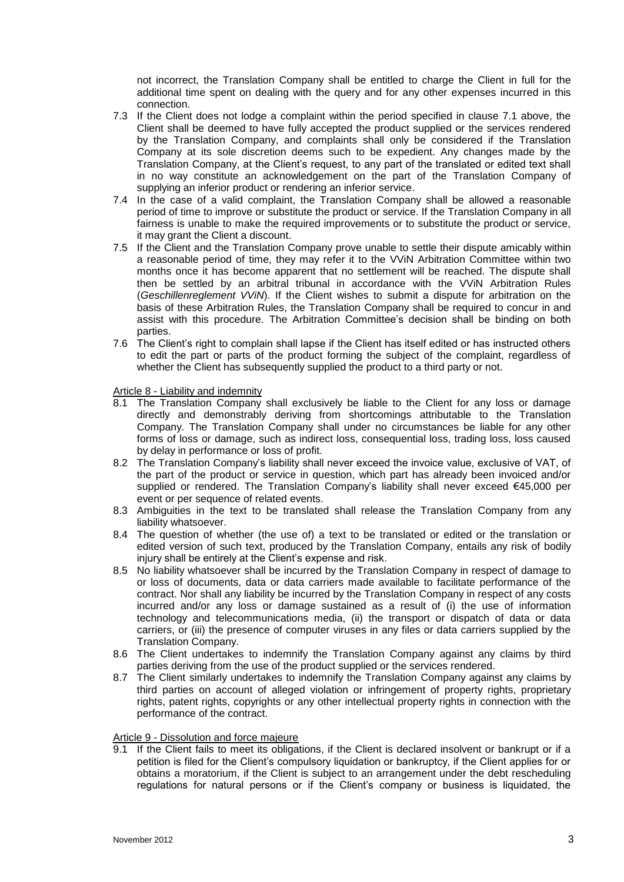not incorrect, the Translation Company shall be entitled to charge the Client in full for the additional time spent on dealing with the query and for any other expenses incurred in this connection.

- 7.3 If the Client does not lodge a complaint within the period specified in clause 7.1 above, the Client shall be deemed to have fully accepted the product supplied or the services rendered by the Translation Company, and complaints shall only be considered if the Translation Company at its sole discretion deems such to be expedient. Any changes made by the Translation Company, at the Client's request, to any part of the translated or edited text shall in no way constitute an acknowledgement on the part of the Translation Company of supplying an inferior product or rendering an inferior service.
- 7.4 In the case of a valid complaint, the Translation Company shall be allowed a reasonable period of time to improve or substitute the product or service. If the Translation Company in all fairness is unable to make the required improvements or to substitute the product or service, it may grant the Client a discount.
- 7.5 If the Client and the Translation Company prove unable to settle their dispute amicably within a reasonable period of time, they may refer it to the VViN Arbitration Committee within two months once it has become apparent that no settlement will be reached. The dispute shall then be settled by an arbitral tribunal in accordance with the VViN Arbitration Rules (*Geschillenreglement VViN*). If the Client wishes to submit a dispute for arbitration on the basis of these Arbitration Rules, the Translation Company shall be required to concur in and assist with this procedure. The Arbitration Committee's decision shall be binding on both parties.
- 7.6 The Client's right to complain shall lapse if the Client has itself edited or has instructed others to edit the part or parts of the product forming the subject of the complaint, regardless of whether the Client has subsequently supplied the product to a third party or not.

### Article 8 - Liability and indemnity

- 8.1 The Translation Company shall exclusively be liable to the Client for any loss or damage directly and demonstrably deriving from shortcomings attributable to the Translation Company. The Translation Company shall under no circumstances be liable for any other forms of loss or damage, such as indirect loss, consequential loss, trading loss, loss caused by delay in performance or loss of profit.
- 8.2 The Translation Company's liability shall never exceed the invoice value, exclusive of VAT, of the part of the product or service in question, which part has already been invoiced and/or supplied or rendered. The Translation Company's liability shall never exceed €45,000 per event or per sequence of related events.
- 8.3 Ambiguities in the text to be translated shall release the Translation Company from any liability whatsoever.
- 8.4 The question of whether (the use of) a text to be translated or edited or the translation or edited version of such text, produced by the Translation Company, entails any risk of bodily injury shall be entirely at the Client's expense and risk.
- 8.5 No liability whatsoever shall be incurred by the Translation Company in respect of damage to or loss of documents, data or data carriers made available to facilitate performance of the contract. Nor shall any liability be incurred by the Translation Company in respect of any costs incurred and/or any loss or damage sustained as a result of (i) the use of information technology and telecommunications media, (ii) the transport or dispatch of data or data carriers, or (iii) the presence of computer viruses in any files or data carriers supplied by the Translation Company.
- 8.6 The Client undertakes to indemnify the Translation Company against any claims by third parties deriving from the use of the product supplied or the services rendered.
- 8.7 The Client similarly undertakes to indemnify the Translation Company against any claims by third parties on account of alleged violation or infringement of property rights, proprietary rights, patent rights, copyrights or any other intellectual property rights in connection with the performance of the contract.

## Article 9 - Dissolution and force majeure

9.1 If the Client fails to meet its obligations, if the Client is declared insolvent or bankrupt or if a petition is filed for the Client's compulsory liquidation or bankruptcy, if the Client applies for or obtains a moratorium, if the Client is subject to an arrangement under the debt rescheduling regulations for natural persons or if the Client's company or business is liquidated, the